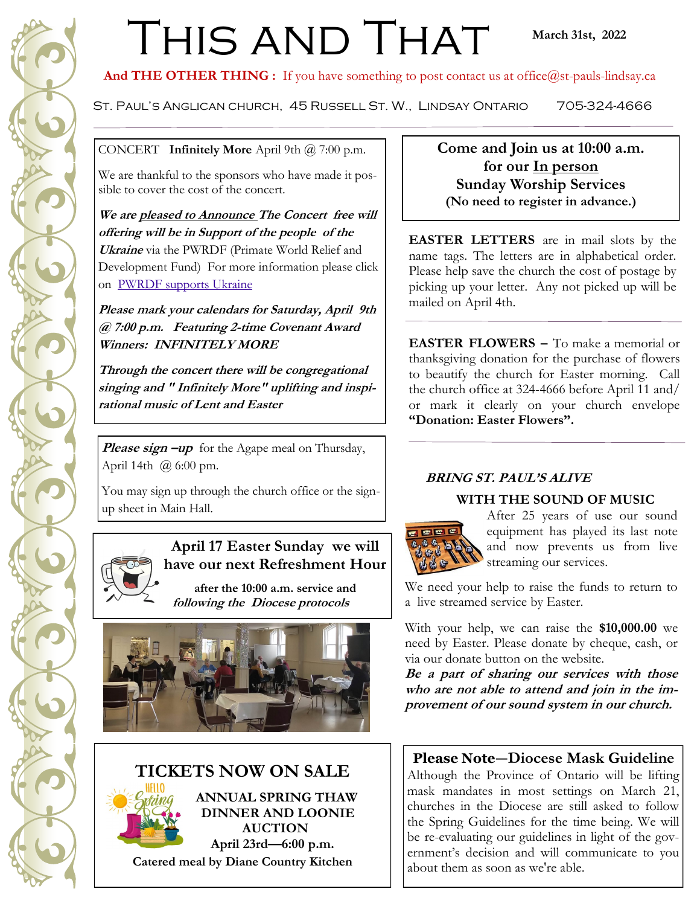# THIS AND THAT

And THE OTHER THING : If you have something to post contact us at office@st-pauls-lindsay.ca

St. Paul's Anglican church, 45 Russell St. W., Lindsay Ontario 705-324-4666

CONCERT **Infinitely More** April 9th @ 7:00 p.m.

We are thankful to the sponsors who have made it possible to cover the cost of the concert.

**We are pleased to Announce The Concert free will offering will be in Support of the people of the Ukraine** via the PWRDF (Primate World Relief and Development Fund) For more information please click on [PWRDF supports Ukraine](https://pwrdf.org/pwrdf-supports-ukrainians-forced-to-flee/)

**Please mark your calendars for Saturday, April 9th @ 7:00 p.m. Featuring 2-time Covenant Award Winners: INFINITELY MORE**

**Through the concert there will be congregational singing and " Infinitely More" uplifting and inspirational music of Lent and Easter**

**Please sign –up** for the Agape meal on Thursday, April 14th  $(a)$  6:00 pm.

You may sign up through the church office or the signup sheet in Main Hall.



## **April 17 Easter Sunday we will have our next Refreshment Hour**

**after the 10:00 a.m. service and following the Diocese protocols** 



## **TICKETS NOW ON SALE**



 **ANNUAL SPRING THAW DINNER AND LOONIE AUCTION April 23rd—6:00 p.m. Catered meal by Diane Country Kitchen**

**Come and Join us at 10:00 a.m. for our In person Sunday Worship Services (No need to register in advance.)**

**EASTER LETTERS** are in mail slots by the name tags. The letters are in alphabetical order. Please help save the church the cost of postage by picking up your letter. Any not picked up will be mailed on April 4th.

**EASTER FLOWERS –** To make a memorial or thanksgiving donation for the purchase of flowers to beautify the church for Easter morning. Call the church office at 324-4666 before April 11 and/ or mark it clearly on your church envelope **"Donation: Easter Flowers".**

## **BRING ST. PAUL'S ALIVE**

#### **WITH THE SOUND OF MUSIC**



After 25 years of use our sound equipment has played its last note and now prevents us from live streaming our services.

We need your help to raise the funds to return to a live streamed service by Easter.

With your help, we can raise the **\$10,000.00** we need by Easter. Please donate by cheque, cash, or via our donate button on the website.

**Be a part of sharing our services with those who are not able to attend and join in the improvement of our sound system in our church.**

## **Please Note—Diocese Mask Guideline**

Although the Province of Ontario will be lifting mask mandates in most settings on March 21, churches in the Diocese are still asked to follow the Spring Guidelines for the time being. We will be re-evaluating our guidelines in light of the government's decision and will communicate to you about them as soon as we're able.